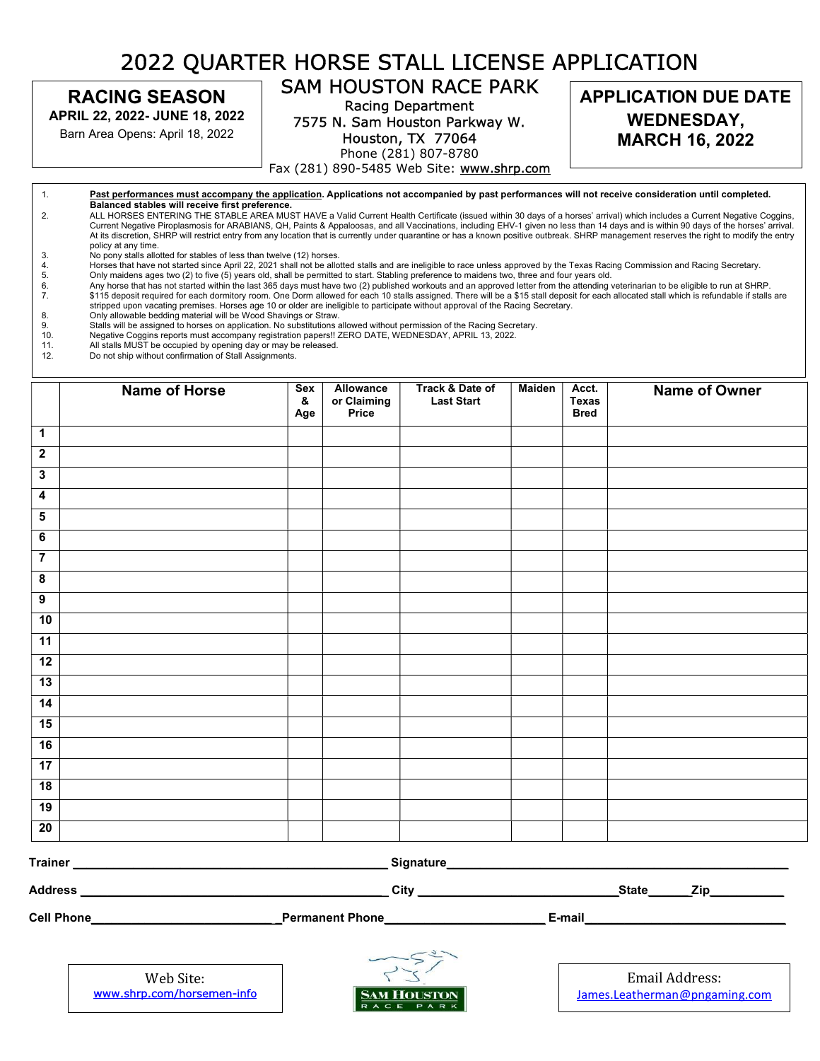## 2022 QUARTER HORSE STALL LICENSE APPLICATION

RACING SEASON

APRIL 22, 2022- JUNE 18, 2022

Barn Area Opens: April 18, 2022

## SAM HOUSTON RACE PARK

Racing Department 7575 N. Sam Houston Parkway W.

Houston, TX 77064 Phone (281) 807-8780

Fax (281) 890-5485 Web Site: www.shrp.com

 1. Past performances must accompany the application. Applications not accompanied by past performances will not receive consideration until completed. **East performances must accompany the appli**<br>Balanced stables will receive first preference. t<br>10 Current Negative Piroplasmosis for ARABIANS, QH, Paints & Appaloosas, and all Vaccinations, including EHV-1 given no less than 14 days and is within 90 days of the horses' arrival.<br>At its discretion, SHRP will restrict ent 2. ALL HORSES ENTERING THE STABLE AREA MUST HAVE a Valid Current Health Certificate (issued within 30 days of a horses' arrival) which includes a Current Negative Coggins,

- policy at any time. 3. No pony stalls allotted for stables of less than twelve (12) horses.
- 4. Horses that have not started since April 22, 2021 shall not be allotted stalls and are ineligible to race unless approved by the Texas Racing Commission and Racing Secretary.<br>5. Only maidens ages two (2) to five (5) yea
- 
- 5. Only maidens ages two (2) to five (5) years old, shall be permitted to start. Stabling preference to maidens two, three and four years old.<br>6. Any horse that has not started within the last 365 days must have two (2) pu Any horse that has not started within the last 365 days must have two (2) published workouts and an approved letter from the attending veterinarian to be eligible to run at SHRP. 7. \$115 deposit required for each dormitory room. One Dorm allowed for each 10 stalls assigned. There will be a \$15 stall deposit for each allocated stall which is refundable if stalls are stripped upon vacating premises. Horses age 10 or older are ineligible to participate without approval of the Racing Secretary.
- 
- 8. Shall be allow and be adding material will be wood Snavings or Straw.<br>9. Stalls will be assigned to horses on application. No substitutions allowed without permission of the Racing Secretary. 8. Only allowable bedding material will be Wood Shavings or Straw.<br>9. Stalls will be assigned to horses on application. No substitutions a
- 10. Negative Coggins reports must accompany registration papers!! ZERO DATE, WEDNESDAY, APRIL 13, 2022.<br>11. All stalls MUST be occupied by opening day or may be released.
- 11. All stalls MUST be occupied by opening day or may be released.
- 12. Do not ship without confirmation of Stall Assignments.

|                         | <b>Name of Horse</b>   | Sex<br>&<br>Age | Allowance<br>or Claiming<br>Price | Track & Date of<br><b>Last Start</b> | <b>Maiden</b> | Acct.<br><b>Texas</b><br><b>Bred</b> | Name of Owner |  |
|-------------------------|------------------------|-----------------|-----------------------------------|--------------------------------------|---------------|--------------------------------------|---------------|--|
| $\mathbf{1}$            |                        |                 |                                   |                                      |               |                                      |               |  |
| $\overline{\mathbf{2}}$ |                        |                 |                                   |                                      |               |                                      |               |  |
| $\overline{\mathbf{3}}$ |                        |                 |                                   |                                      |               |                                      |               |  |
| $\overline{\mathbf{4}}$ |                        |                 |                                   |                                      |               |                                      |               |  |
| ${\bf 5}$               |                        |                 |                                   |                                      |               |                                      |               |  |
| $\overline{\mathbf{6}}$ |                        |                 |                                   |                                      |               |                                      |               |  |
| $\overline{7}$          |                        |                 |                                   |                                      |               |                                      |               |  |
| $\overline{\mathbf{8}}$ |                        |                 |                                   |                                      |               |                                      |               |  |
| $\overline{9}$          |                        |                 |                                   |                                      |               |                                      |               |  |
| 10                      |                        |                 |                                   |                                      |               |                                      |               |  |
| 11                      |                        |                 |                                   |                                      |               |                                      |               |  |
| 12                      |                        |                 |                                   |                                      |               |                                      |               |  |
| 13                      |                        |                 |                                   |                                      |               |                                      |               |  |
| 14                      |                        |                 |                                   |                                      |               |                                      |               |  |
| 15                      |                        |                 |                                   |                                      |               |                                      |               |  |
| 16                      |                        |                 |                                   |                                      |               |                                      |               |  |
| 17                      |                        |                 |                                   |                                      |               |                                      |               |  |
| 18                      |                        |                 |                                   |                                      |               |                                      |               |  |
| 19                      |                        |                 |                                   |                                      |               |                                      |               |  |
| 20                      |                        |                 |                                   |                                      |               |                                      |               |  |
|                         | Trainer _<br>Signature |                 |                                   |                                      |               |                                      |               |  |

Address \_\_\_\_\_\_\_\_\_\_\_\_\_\_\_\_\_\_\_\_\_\_\_\_\_\_\_\_\_\_\_\_\_\_\_\_\_\_\_\_\_\_\_\_\_ City \_\_\_\_\_\_\_\_\_\_\_\_\_\_\_\_\_\_\_\_\_\_\_\_\_\_\_\_\_\_State\_\_\_\_\_\_ Zip\_\_\_\_\_\_\_\_\_\_\_

Cell Phone\_\_\_\_\_\_\_\_\_\_\_\_\_\_\_\_\_\_\_\_\_\_\_\_\_\_\_ \_Permanent Phone\_\_\_\_\_\_\_\_\_\_\_\_\_\_\_\_\_\_\_\_\_\_\_\_ E-mail\_\_\_\_\_\_\_\_\_\_\_\_\_\_\_\_\_\_\_\_\_\_\_\_\_\_\_\_\_\_

Web Site: www.shrp.com/horsemen-info L



Email Address: James.Leatherman@pngaming.com i,

APPLICATION DUE DATE WEDNESDAY, MARCH 16, 2022